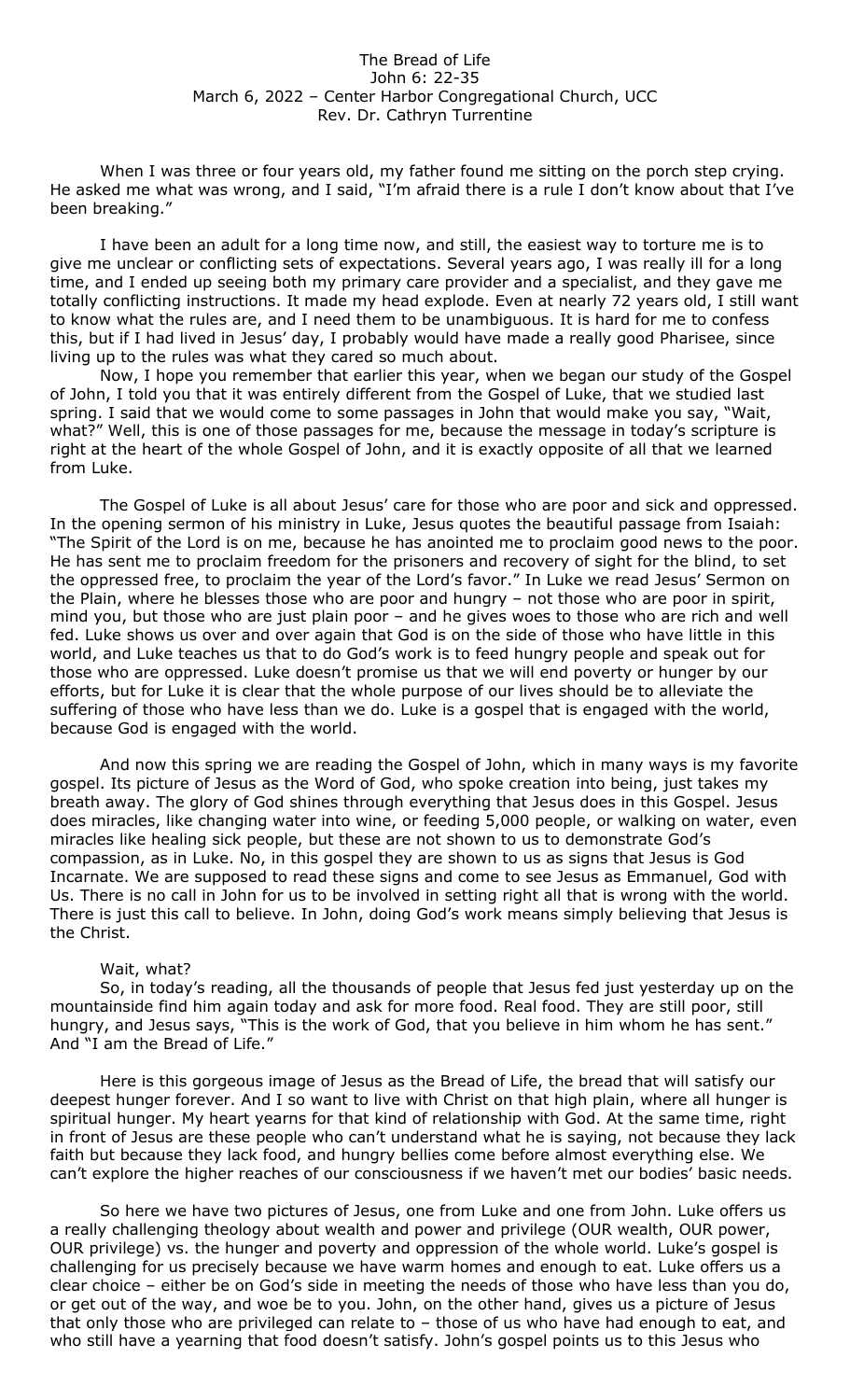## The Bread of Life John 6: 22-35 March 6, 2022 – Center Harbor Congregational Church, UCC Rev. Dr. Cathryn Turrentine

When I was three or four years old, my father found me sitting on the porch step crying. He asked me what was wrong, and I said, "I'm afraid there is a rule I don't know about that I've been breaking."

I have been an adult for a long time now, and still, the easiest way to torture me is to give me unclear or conflicting sets of expectations. Several years ago, I was really ill for a long time, and I ended up seeing both my primary care provider and a specialist, and they gave me totally conflicting instructions. It made my head explode. Even at nearly 72 years old, I still want to know what the rules are, and I need them to be unambiguous. It is hard for me to confess this, but if I had lived in Jesus' day, I probably would have made a really good Pharisee, since living up to the rules was what they cared so much about.

Now, I hope you remember that earlier this year, when we began our study of the Gospel of John, I told you that it was entirely different from the Gospel of Luke, that we studied last spring. I said that we would come to some passages in John that would make you say, "Wait, what?" Well, this is one of those passages for me, because the message in today's scripture is right at the heart of the whole Gospel of John, and it is exactly opposite of all that we learned from Luke.

The Gospel of Luke is all about Jesus' care for those who are poor and sick and oppressed. In the opening sermon of his ministry in Luke, Jesus quotes the beautiful passage from Isaiah: "The Spirit of the Lord is on me, because he has anointed me to proclaim good news to the poor. He has sent me to proclaim freedom for the prisoners and recovery of sight for the blind, to set the oppressed free, to proclaim the year of the Lord's favor." In Luke we read Jesus' Sermon on the Plain, where he blesses those who are poor and hungry – not those who are poor in spirit, mind you, but those who are just plain poor – and he gives woes to those who are rich and well fed. Luke shows us over and over again that God is on the side of those who have little in this world, and Luke teaches us that to do God's work is to feed hungry people and speak out for those who are oppressed. Luke doesn't promise us that we will end poverty or hunger by our efforts, but for Luke it is clear that the whole purpose of our lives should be to alleviate the suffering of those who have less than we do. Luke is a gospel that is engaged with the world, because God is engaged with the world.

And now this spring we are reading the Gospel of John, which in many ways is my favorite gospel. Its picture of Jesus as the Word of God, who spoke creation into being, just takes my breath away. The glory of God shines through everything that Jesus does in this Gospel. Jesus does miracles, like changing water into wine, or feeding 5,000 people, or walking on water, even miracles like healing sick people, but these are not shown to us to demonstrate God's compassion, as in Luke. No, in this gospel they are shown to us as signs that Jesus is God Incarnate. We are supposed to read these signs and come to see Jesus as Emmanuel, God with Us. There is no call in John for us to be involved in setting right all that is wrong with the world. There is just this call to believe. In John, doing God's work means simply believing that Jesus is the Christ.

## Wait, what?

So, in today's reading, all the thousands of people that Jesus fed just yesterday up on the mountainside find him again today and ask for more food. Real food. They are still poor, still hungry, and Jesus says, "This is the work of God, that you believe in him whom he has sent." And "I am the Bread of Life."

Here is this gorgeous image of Jesus as the Bread of Life, the bread that will satisfy our deepest hunger forever. And I so want to live with Christ on that high plain, where all hunger is spiritual hunger. My heart yearns for that kind of relationship with God. At the same time, right in front of Jesus are these people who can't understand what he is saying, not because they lack faith but because they lack food, and hungry bellies come before almost everything else. We can't explore the higher reaches of our consciousness if we haven't met our bodies' basic needs.

So here we have two pictures of Jesus, one from Luke and one from John. Luke offers us a really challenging theology about wealth and power and privilege (OUR wealth, OUR power, OUR privilege) vs. the hunger and poverty and oppression of the whole world. Luke's gospel is challenging for us precisely because we have warm homes and enough to eat. Luke offers us a clear choice – either be on God's side in meeting the needs of those who have less than you do, or get out of the way, and woe be to you. John, on the other hand, gives us a picture of Jesus that only those who are privileged can relate to – those of us who have had enough to eat, and who still have a yearning that food doesn't satisfy. John's gospel points us to this Jesus who